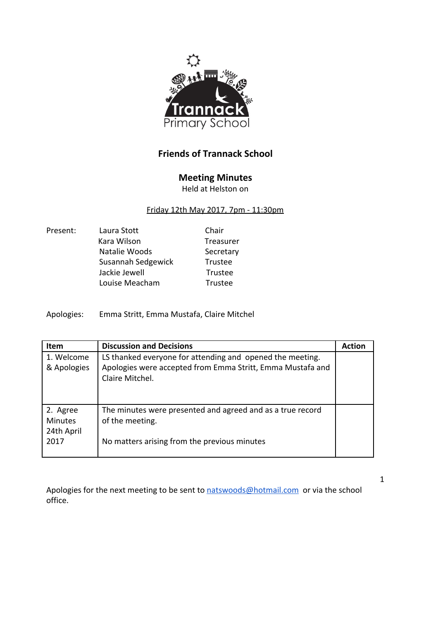

## **Friends of Trannack School**

## **Meeting Minutes**

Held at Helston on

## Friday 12th May 2017, 7pm - 11:30pm

| Present: | Laura Stott        | Chair     |
|----------|--------------------|-----------|
|          | Kara Wilson        | Treasurer |
|          | Natalie Woods      | Secretary |
|          | Susannah Sedgewick | Trustee   |
|          | Jackie Jewell      | Trustee   |
|          | Louise Meacham     | Trustee   |
|          |                    |           |

Apologies: Emma Stritt, Emma Mustafa, Claire Mitchel

| <b>Item</b>    | <b>Discussion and Decisions</b>                            | <b>Action</b> |
|----------------|------------------------------------------------------------|---------------|
| 1. Welcome     | LS thanked everyone for attending and opened the meeting.  |               |
| & Apologies    | Apologies were accepted from Emma Stritt, Emma Mustafa and |               |
|                | Claire Mitchel.                                            |               |
|                |                                                            |               |
|                |                                                            |               |
| 2. Agree       | The minutes were presented and agreed and as a true record |               |
| <b>Minutes</b> | of the meeting.                                            |               |
| 24th April     |                                                            |               |
| 2017           | No matters arising from the previous minutes               |               |
|                |                                                            |               |

Apologies for the next meeting to be sent to [natswoods@hotmail.com](mailto:natswoods@hotmail.com) or via the school office.

1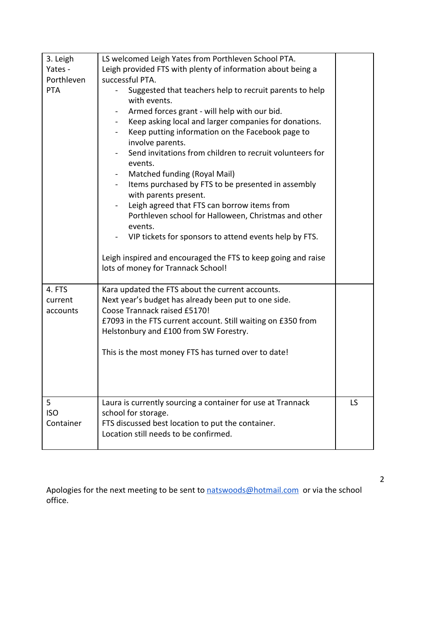| 3. Leigh                      | LS welcomed Leigh Yates from Porthleven School PTA.                                                                                                                                                                                                                                                                                                                                                                                                                                                                                                                                                                                                                                                                               |    |
|-------------------------------|-----------------------------------------------------------------------------------------------------------------------------------------------------------------------------------------------------------------------------------------------------------------------------------------------------------------------------------------------------------------------------------------------------------------------------------------------------------------------------------------------------------------------------------------------------------------------------------------------------------------------------------------------------------------------------------------------------------------------------------|----|
| Yates -                       | Leigh provided FTS with plenty of information about being a                                                                                                                                                                                                                                                                                                                                                                                                                                                                                                                                                                                                                                                                       |    |
| Porthleven                    | successful PTA.                                                                                                                                                                                                                                                                                                                                                                                                                                                                                                                                                                                                                                                                                                                   |    |
| <b>PTA</b>                    | Suggested that teachers help to recruit parents to help<br>with events.<br>Armed forces grant - will help with our bid.<br>Keep asking local and larger companies for donations.<br>Keep putting information on the Facebook page to<br>involve parents.<br>Send invitations from children to recruit volunteers for<br>events.<br>Matched funding (Royal Mail)<br>Items purchased by FTS to be presented in assembly<br>with parents present.<br>Leigh agreed that FTS can borrow items from<br>Porthleven school for Halloween, Christmas and other<br>events.<br>VIP tickets for sponsors to attend events help by FTS.<br>Leigh inspired and encouraged the FTS to keep going and raise<br>lots of money for Trannack School! |    |
|                               |                                                                                                                                                                                                                                                                                                                                                                                                                                                                                                                                                                                                                                                                                                                                   |    |
| 4. FTS<br>current<br>accounts | Kara updated the FTS about the current accounts.<br>Next year's budget has already been put to one side.<br>Coose Trannack raised £5170!<br>£7093 in the FTS current account. Still waiting on £350 from<br>Helstonbury and £100 from SW Forestry.<br>This is the most money FTS has turned over to date!                                                                                                                                                                                                                                                                                                                                                                                                                         |    |
| 5<br><b>ISO</b><br>Container  | Laura is currently sourcing a container for use at Trannack<br>school for storage.<br>FTS discussed best location to put the container.<br>Location still needs to be confirmed.                                                                                                                                                                                                                                                                                                                                                                                                                                                                                                                                                  | LS |

Apologies for the next meeting to be sent to **natswoods@hotmail.com** or via the school office.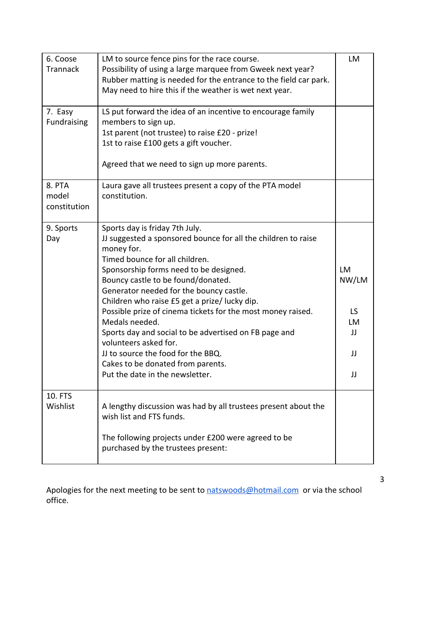| 6. Coose<br>Trannack            | LM to source fence pins for the race course.<br>Possibility of using a large marquee from Gweek next year?<br>Rubber matting is needed for the entrance to the field car park.<br>May need to hire this if the weather is wet next year.                                                                                                                                                                                                                                                                                                                                                                     | LM                                                |
|---------------------------------|--------------------------------------------------------------------------------------------------------------------------------------------------------------------------------------------------------------------------------------------------------------------------------------------------------------------------------------------------------------------------------------------------------------------------------------------------------------------------------------------------------------------------------------------------------------------------------------------------------------|---------------------------------------------------|
| 7. Easy<br>Fundraising          | LS put forward the idea of an incentive to encourage family<br>members to sign up.<br>1st parent (not trustee) to raise £20 - prize!<br>1st to raise £100 gets a gift voucher.<br>Agreed that we need to sign up more parents.                                                                                                                                                                                                                                                                                                                                                                               |                                                   |
| 8. PTA<br>model<br>constitution | Laura gave all trustees present a copy of the PTA model<br>constitution.                                                                                                                                                                                                                                                                                                                                                                                                                                                                                                                                     |                                                   |
| 9. Sports<br>Day                | Sports day is friday 7th July.<br>JJ suggested a sponsored bounce for all the children to raise<br>money for.<br>Timed bounce for all children.<br>Sponsorship forms need to be designed.<br>Bouncy castle to be found/donated.<br>Generator needed for the bouncy castle.<br>Children who raise £5 get a prize/ lucky dip.<br>Possible prize of cinema tickets for the most money raised.<br>Medals needed.<br>Sports day and social to be advertised on FB page and<br>volunteers asked for.<br>JJ to source the food for the BBQ.<br>Cakes to be donated from parents.<br>Put the date in the newsletter. | <b>LM</b><br>NW/LM<br>LS.<br>LM<br>JJ<br>JJ<br>JJ |
| 10. FTS<br>Wishlist             | A lengthy discussion was had by all trustees present about the<br>wish list and FTS funds.<br>The following projects under £200 were agreed to be<br>purchased by the trustees present:                                                                                                                                                                                                                                                                                                                                                                                                                      |                                                   |

Apologies for the next meeting to be sent to **natswoods@hotmail.com** or via the school office.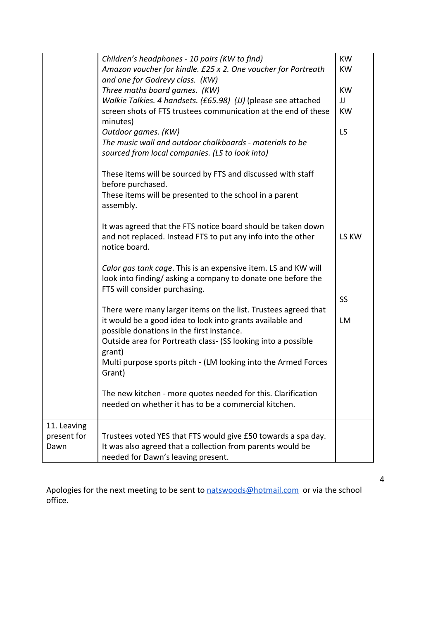|             | Children's headphones - 10 pairs (KW to find)                            | <b>KW</b> |
|-------------|--------------------------------------------------------------------------|-----------|
|             | Amazon voucher for kindle. £25 x 2. One voucher for Portreath            | <b>KW</b> |
|             | and one for Godrevy class. (KW)                                          |           |
|             | Three maths board games. (KW)                                            | <b>KW</b> |
|             | Walkie Talkies. 4 handsets. (£65.98) (JJ) (please see attached           | JJ        |
|             | screen shots of FTS trustees communication at the end of these           | <b>KW</b> |
|             | minutes)                                                                 |           |
|             | Outdoor games. (KW)                                                      | LS        |
|             | The music wall and outdoor chalkboards - materials to be                 |           |
|             | sourced from local companies. (LS to look into)                          |           |
|             |                                                                          |           |
|             | These items will be sourced by FTS and discussed with staff              |           |
|             | before purchased.                                                        |           |
|             | These items will be presented to the school in a parent                  |           |
|             | assembly.                                                                |           |
|             |                                                                          |           |
|             | It was agreed that the FTS notice board should be taken down             |           |
|             | and not replaced. Instead FTS to put any info into the other             | LS KW     |
|             | notice board.                                                            |           |
|             |                                                                          |           |
|             | Calor gas tank cage. This is an expensive item. LS and KW will           |           |
|             | look into finding/asking a company to donate one before the              |           |
|             | FTS will consider purchasing.                                            |           |
|             |                                                                          | SS        |
|             | There were many larger items on the list. Trustees agreed that           |           |
|             | it would be a good idea to look into grants available and                | LM        |
|             | possible donations in the first instance.                                |           |
|             | Outside area for Portreath class- (SS looking into a possible            |           |
|             |                                                                          |           |
|             | grant)                                                                   |           |
|             | Multi purpose sports pitch - (LM looking into the Armed Forces<br>Grant) |           |
|             |                                                                          |           |
|             | The new kitchen - more quotes needed for this. Clarification             |           |
|             | needed on whether it has to be a commercial kitchen.                     |           |
|             |                                                                          |           |
| 11. Leaving |                                                                          |           |
| present for | Trustees voted YES that FTS would give £50 towards a spa day.            |           |
| Dawn        | It was also agreed that a collection from parents would be               |           |
|             |                                                                          |           |
|             | needed for Dawn's leaving present.                                       |           |

Apologies for the next meeting to be sent to **natswoods@hotmail.com** or via the school office.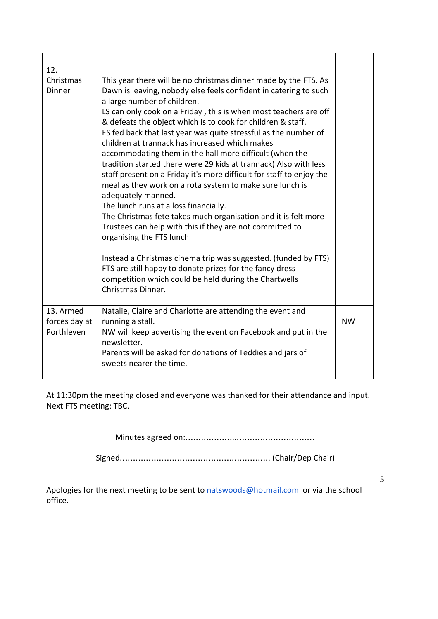| 12.<br>Christmas<br>Dinner<br>13. Armed | This year there will be no christmas dinner made by the FTS. As<br>Dawn is leaving, nobody else feels confident in catering to such<br>a large number of children.<br>LS can only cook on a Friday, this is when most teachers are off<br>& defeats the object which is to cook for children & staff.<br>ES fed back that last year was quite stressful as the number of<br>children at trannack has increased which makes<br>accommodating them in the hall more difficult (when the<br>tradition started there were 29 kids at trannack) Also with less<br>staff present on a Friday it's more difficult for staff to enjoy the<br>meal as they work on a rota system to make sure lunch is<br>adequately manned.<br>The lunch runs at a loss financially.<br>The Christmas fete takes much organisation and it is felt more<br>Trustees can help with this if they are not committed to<br>organising the FTS lunch<br>Instead a Christmas cinema trip was suggested. (funded by FTS)<br>FTS are still happy to donate prizes for the fancy dress<br>competition which could be held during the Chartwells<br>Christmas Dinner. |           |
|-----------------------------------------|------------------------------------------------------------------------------------------------------------------------------------------------------------------------------------------------------------------------------------------------------------------------------------------------------------------------------------------------------------------------------------------------------------------------------------------------------------------------------------------------------------------------------------------------------------------------------------------------------------------------------------------------------------------------------------------------------------------------------------------------------------------------------------------------------------------------------------------------------------------------------------------------------------------------------------------------------------------------------------------------------------------------------------------------------------------------------------------------------------------------------------|-----------|
| forces day at<br>Porthleven             | Natalie, Claire and Charlotte are attending the event and<br>running a stall.<br>NW will keep advertising the event on Facebook and put in the<br>newsletter.<br>Parents will be asked for donations of Teddies and jars of<br>sweets nearer the time.                                                                                                                                                                                                                                                                                                                                                                                                                                                                                                                                                                                                                                                                                                                                                                                                                                                                             | <b>NW</b> |

At 11:30pm the meeting closed and everyone was thanked for their attendance and input. Next FTS meeting: TBC.

Minutes agreed on:………………..…………………………

Signed…………………………………………………. (Chair/Dep Chair)

Apologies for the next meeting to be sent to [natswoods@hotmail.com](mailto:natswoods@hotmail.com) or via the school office.

5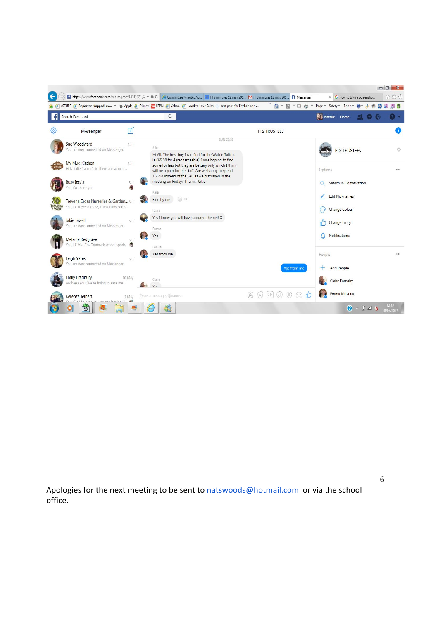

Apologies for the next meeting to be sent to [natswoods@hotmail.com](mailto:natswoods@hotmail.com) or via the school office.